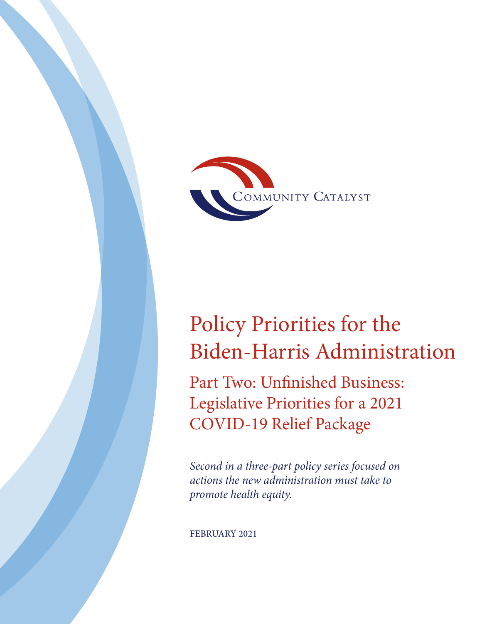

# Policy Priorities for the Biden-Harris Administration

Part Two: Unfinished Business: Legislative Priorities for a 2021 COVID-19 Relief Package

*Second in a three-part policy series focused on actions the new administration must take to promote health equity.*

FEBRUARY 2021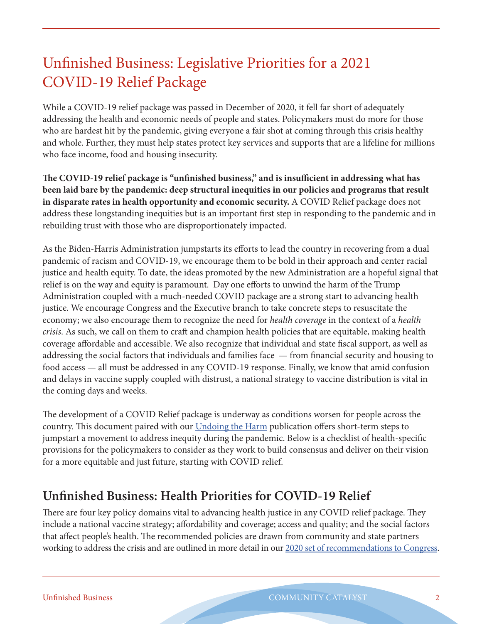## Unfinished Business: Legislative Priorities for a 2021 COVID-19 Relief Package

While a COVID-19 relief package was passed in December of 2020, it fell far short of adequately addressing the health and economic needs of people and states. Policymakers must do more for those who are hardest hit by the pandemic, giving everyone a fair shot at coming through this crisis healthy and whole. Further, they must help states protect key services and supports that are a lifeline for millions who face income, food and housing insecurity.

**The COVID-19 relief package is "unfinished business," and is insufficient in addressing what has been laid bare by the pandemic: deep structural inequities in our policies and programs that result in disparate rates in health opportunity and economic security.** A COVID Relief package does not address these longstanding inequities but is an important first step in responding to the pandemic and in rebuilding trust with those who are disproportionately impacted.

As the Biden-Harris Administration jumpstarts its efforts to lead the country in recovering from a dual pandemic of racism and COVID-19, we encourage them to be bold in their approach and center racial justice and health equity. To date, the ideas promoted by the new Administration are a hopeful signal that relief is on the way and equity is paramount. Day one efforts to unwind the harm of the Trump Administration coupled with a much-needed COVID package are a strong start to advancing health justice. We encourage Congress and the Executive branch to take concrete steps to resuscitate the economy; we also encourage them to recognize the need for *health coverage* in the context of a *health crisis*. As such, we call on them to craft and champion health policies that are equitable, making health coverage affordable and accessible. We also recognize that individual and state fiscal support, as well as addressing the social factors that individuals and families face — from financial security and housing to food access — all must be addressed in any COVID-19 response. Finally, we know that amid confusion and delays in vaccine supply coupled with distrust, a national strategy to vaccine distribution is vital in the coming days and weeks.

The development of a COVID Relief package is underway as conditions worsen for people across the country. This document paired with our *Undoing the Harm publication offers short-term steps to* jumpstart a movement to address inequity during the pandemic. Below is a checklist of health-specific provisions for the policymakers to consider as they work to build consensus and deliver on their vision for a more equitable and just future, starting with COVID relief.

### **Unfinished Business: Health Priorities for COVID-19 Relief**

There are four key policy domains vital to advancing health justice in any COVID relief package. They include a national vaccine strategy; affordability and coverage; access and quality; and the social factors that affect people's health. The recommended policies are drawn from community and state partners working to address the crisis and are outlined in more detail in our [2020 set of recommendations to Congress.](https://www.communitycatalyst.org/resources/2020-covid/Strengthening-Federal-Approach.pdf)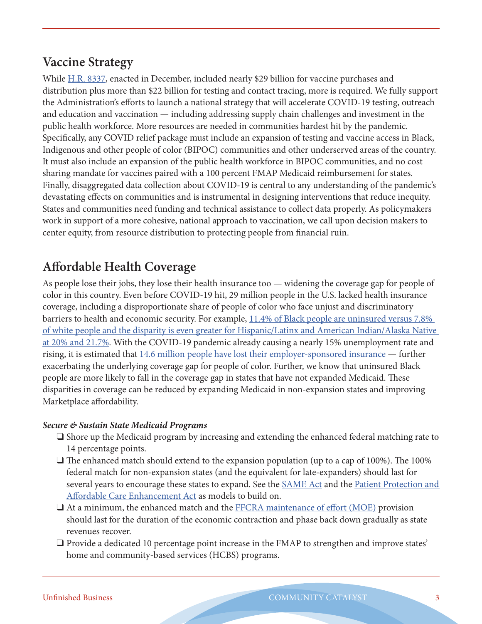### **Vaccine Strategy**

While [H.R. 8337](https://www.congress.gov/bill/116th-congress/house-bill/8337/text), enacted in December, included nearly \$29 billion for vaccine purchases and distribution plus more than \$22 billion for testing and contact tracing, more is required. We fully support the Administration's efforts to launch a national strategy that will accelerate COVID-19 testing, outreach and education and vaccination — including addressing supply chain challenges and investment in the public health workforce. More resources are needed in communities hardest hit by the pandemic. Specifically, any COVID relief package must include an expansion of testing and vaccine access in Black, Indigenous and other people of color (BIPOC) communities and other underserved areas of the country. It must also include an expansion of the public health workforce in BIPOC communities, and no cost sharing mandate for vaccines paired with a 100 percent FMAP Medicaid reimbursement for states. Finally, disaggregated data collection about COVID-19 is central to any understanding of the pandemic's devastating effects on communities and is instrumental in designing interventions that reduce inequity. States and communities need funding and technical assistance to collect data properly. As policymakers work in support of a more cohesive, national approach to vaccination, we call upon decision makers to center equity, from resource distribution to protecting people from financial ruin.

### **Affordable Health Coverage**

As people lose their jobs, they lose their health insurance too — widening the coverage gap for people of color in this country. Even before COVID-19 hit, 29 million people in the U.S. lacked health insurance coverage, including a disproportionate share of people of color who face unjust and discriminatory barriers to health and economic security. For example, [11.4% of Black people are uninsured versus 7.8%](https://www.kff.org/uninsured/issue-brief/key-facts-about-the-uninsured-population/)  [of white people and the disparity is even greater for Hispanic/Latinx and American Indian/Alaska Native](https://www.kff.org/uninsured/issue-brief/key-facts-about-the-uninsured-population/)  [at 20% and 21.7%.](https://www.kff.org/uninsured/issue-brief/key-facts-about-the-uninsured-population/) With the COVID-19 pandemic already causing a nearly 15% unemployment rate and rising, it is estimated that [14.6 million people have lost their employer-sponsored insurance](https://www.commonwealthfund.org/publications/issue-briefs/2020/oct/how-many-lost-jobs-employer-coverage-pandemic) — further exacerbating the underlying coverage gap for people of color. Further, we know that uninsured Black people are more likely to fall in the coverage gap in states that have not expanded Medicaid. These disparities in coverage can be reduced by expanding Medicaid in non-expansion states and improving Marketplace affordability.

### *Secure & Sustain State Medicaid Programs*

- $\Box$  Shore up the Medicaid program by increasing and extending the enhanced federal matching rate to 14 percentage points.
- $\Box$  The enhanced match should extend to the expansion population (up to a cap of 100%). The 100% federal match for non-expansion states (and the equivalent for late-expanders) should last for several years to encourage these states to expand. See the [SAME Act](https://www.congress.gov/bill/116th-congress/senate-bill/585/text?q=%7B%22search%22%3A%5B%22SAME+Act%22%5D%7D&r=4&s=3) and the [Patient Protection and](https://www.congress.gov/bill/116th-congress/house-bill/1425)  [Affordable Care Enhancement Act](https://www.congress.gov/bill/116th-congress/house-bill/1425) as models to build on.
- $\Box$  At a minimum, the enhanced match and the [FFCRA maintenance of effort \(MOE\)](https://www.kff.org/medicaid/issue-brief/medicaid-maintenance-of-eligibility-moe-requirements-issues-to-watch/) provision should last for the duration of the economic contraction and phase back down gradually as state revenues recover.
- $\Box$  Provide a dedicated 10 percentage point increase in the FMAP to strengthen and improve states' home and community-based services (HCBS) programs.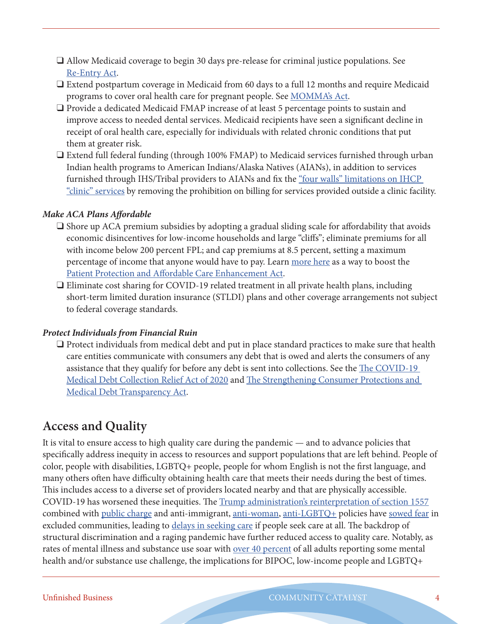- $\Box$  Allow Medicaid coverage to begin 30 days pre-release for criminal justice populations. See [Re-Entry Act](https://www.congress.gov/bill/116th-congress/house-bill/1329/text).
- $\Box$  Extend postpartum coverage in Medicaid from 60 days to a full 12 months and require Medicaid programs to cover oral health care for pregnant people. See [MOMMA's Act.](https://www.congress.gov/bill/116th-congress/house-bill/1897/text)
- $\Box$  Provide a dedicated Medicaid FMAP increase of at least 5 percentage points to sustain and improve access to needed dental services. Medicaid recipients have seen a significant decline in receipt of oral health care, especially for individuals with related chronic conditions that put them at greater risk.
- $\Box$  Extend full federal funding (through 100% FMAP) to Medicaid services furnished through urban Indian health programs to American Indians/Alaska Natives (AIANs), in addition to services furnished through IHS/Tribal providers to AIANs and fix the ["four walls" limitations on IHCP](https://www.medicaid.gov/federal-policy-guidance/downloads/cib11421.pdf)  ["clinic" services](https://www.medicaid.gov/federal-policy-guidance/downloads/cib11421.pdf) by removing the prohibition on billing for services provided outside a clinic facility.

### *Make ACA Plans Affordable*

- $\square$  Shore up ACA premium subsidies by adopting a gradual sliding scale for affordability that avoids economic disincentives for low-income households and large "cliffs"; eliminate premiums for all with income below 200 percent FPL; and cap premiums at 8.5 percent, setting a maximum percentage of income that anyone would have to pay. Learn [more here](https://www.communitycatalyst.org/resources/publications/document/Health-Care-Affordability-and-COVID-19-brief.pdf) as a way to boost the [Patient Protection and Affordable Care Enhancement Act.](https://www.congress.gov/bill/116th-congress/house-bill/1425)
- $\Box$  Eliminate cost sharing for COVID-19 related treatment in all private health plans, including short-term limited duration insurance (STLDI) plans and other coverage arrangements not subject to federal coverage standards.

### *Protect Individuals from Financial Ruin*

 $\Box$  Protect individuals from medical debt and put in place standard practices to make sure that health care entities communicate with consumers any debt that is owed and alerts the consumers of any assistance that they qualify for before any debt is sent into collections. See the [The COVID-19](https://www.vanhollen.senate.gov/imo/media/doc/BILL_COVID-19%20Medical%20Debt%20Collection%20Relief%20Act%207.28.20.pdf)  [Medical Debt Collection Relief Act of 2020](https://www.vanhollen.senate.gov/imo/media/doc/BILL_COVID-19%20Medical%20Debt%20Collection%20Relief%20Act%207.28.20.pdf) and [The Strengthening Consumer Protections and](https://www.murphy.senate.gov/download/malnutrition-awareness-resolution)  [Medical Debt Transparency Act.](https://www.murphy.senate.gov/download/malnutrition-awareness-resolution)

### **Access and Quality**

It is vital to ensure access to high quality care during the pandemic — and to advance policies that specifically address inequity in access to resources and support populations that are left behind. People of color, people with disabilities, LGBTQ+ people, people for whom English is not the first language, and many others often have difficulty obtaining health care that meets their needs during the best of times. This includes access to a diverse set of providers located nearby and that are physically accessible. COVID-19 has worsened these inequities. The [Trump administration's reinterpretation of section 1557](https://www.commonwealthfund.org/blog/2020/health-care-2020-presidential-election-equity-ensuring-protections-people-color) combined with [public charge](https://www.healthaffairs.org/do/10.1377/hblog20190813.84831/full/) and anti-immigrant, [anti-woman](https://www.americanprogress.org/issues/women/reports/2020/09/10/490241/women-paid-price-trumps-regulatory-agenda/), [anti-LGBTQ+](https://www.americanprogress.org/issues/lgbtq-rights/reports/2021/01/12/494500/improving-lives-rights-lgbtq-people-america/) policies have [sowed fear](https://www.commonwealthfund.org/blog/2019/new-public-charge-rule-affecting-immigrants-has-major-implications-medicaid-and-entire) in excluded communities, leading to [delays in seeking care](https://www.cdc.gov/mmwr/volumes/69/wr/mm6936a4.htm) if people seek care at all. The backdrop of structural discrimination and a raging pandemic have further reduced access to quality care. Notably, as rates of mental illness and substance use soar with <u>over 40 percent</u> of all adults reporting some mental health and/or substance use challenge, the implications for BIPOC, low-income people and LGBTQ+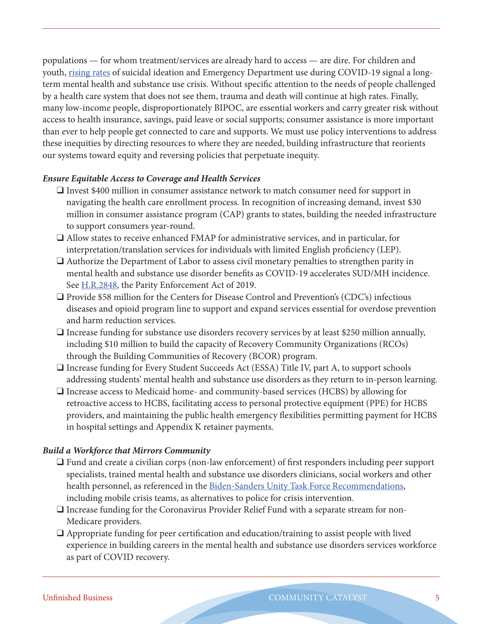populations — for whom treatment/services are already hard to access — are dire. For children and youth, [rising rates](https://www.cdc.gov/mmwr/volumes/69/wr/pdfs/mm6932a1-H.pdf) of suicidal ideation and Emergency Department use during COVID-19 signal a longterm mental health and substance use crisis. Without specific attention to the needs of people challenged by a health care system that does not see them, trauma and death will continue at high rates. Finally, many low-income people, disproportionately BIPOC, are essential workers and carry greater risk without access to health insurance, savings, paid leave or social supports; consumer assistance is more important than ever to help people get connected to care and supports. We must use policy interventions to address these inequities by directing resources to where they are needed, building infrastructure that reorients our systems toward equity and reversing policies that perpetuate inequity.

### *Ensure Equitable Access to Coverage and Health Services*

- $\Box$  Invest \$400 million in consumer assistance network to match consumer need for support in navigating the health care enrollment process. In recognition of increasing demand, invest \$30 million in consumer assistance program (CAP) grants to states, building the needed infrastructure to support consumers year-round.
- $\Box$  Allow states to receive enhanced FMAP for administrative services, and in particular, for interpretation/translation services for individuals with limited English proficiency (LEP).
- $\Box$  Authorize the Department of Labor to assess civil monetary penalties to strengthen parity in mental health and substance use disorder benefits as COVID-19 accelerates SUD/MH incidence. See [H.R.2848,](https://www.congress.gov/bill/116th-congress/house-bill/2848?r=2&s=1) the Parity Enforcement Act of 2019.
- $\Box$  Provide \$58 million for the Centers for Disease Control and Prevention's (CDC's) infectious diseases and opioid program line to support and expand services essential for overdose prevention and harm reduction services.
- $\Box$  Increase funding for substance use disorders recovery services by at least \$250 million annually, including \$10 million to build the capacity of Recovery Community Organizations (RCOs) through the Building Communities of Recovery (BCOR) program.
- $\Box$  Increase funding for Every Student Succeeds Act (ESSA) Title IV, part A, to support schools addressing students' mental health and substance use disorders as they return to in-person learning.
- $\Box$  Increase access to Medicaid home- and community-based services (HCBS) by allowing for retroactive access to HCBS, facilitating access to personal protective equipment (PPE) for HCBS providers, and maintaining the public health emergency flexibilities permitting payment for HCBS in hospital settings and Appendix K retainer payments.

### *Build a Workforce that Mirrors Community*

- $\Box$  Fund and create a civilian corps (non-law enforcement) of first responders including peer support specialists, trained mental health and substance use disorders clinicians, social workers and other health personnel, as referenced in the [Biden-Sanders Unity Task Force Recommendations](https://joebiden.com/wp-content/uploads/2020/08/UNITY-TASK-FORCE-RECOMMENDATIONS.pdf), including mobile crisis teams, as alternatives to police for crisis intervention.
- $\Box$  Increase funding for the Coronavirus Provider Relief Fund with a separate stream for non-Medicare providers.
- $\Box$  Appropriate funding for peer certification and education/training to assist people with lived experience in building careers in the mental health and substance use disorders services workforce as part of COVID recovery.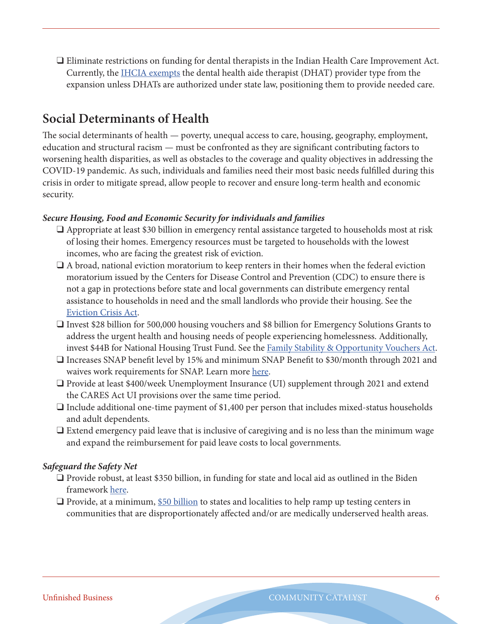$\Box$  Eliminate restrictions on funding for dental therapists in the Indian Health Care Improvement Act. Currently, the [IHCIA exempts](https://www.ihs.gov/sites/ihcia/themes/responsive2017/display_objects/documents/home/USCode_Title25_Chapter%2018.pdf#page=24) the dental health aide therapist (DHAT) provider type from the expansion unless DHATs are authorized under state law, positioning them to provide needed care.

### **Social Determinants of Health**

The social determinants of health — poverty, unequal access to care, housing, geography, employment, education and structural racism — must be confronted as they are significant contributing factors to worsening health disparities, as well as obstacles to the coverage and quality objectives in addressing the COVID-19 pandemic. As such, individuals and families need their most basic needs fulfilled during this crisis in order to mitigate spread, allow people to recover and ensure long-term health and economic security.

### *Secure Housing, Food and Economic Security for individuals and families*

- $\Box$  Appropriate at least \$30 billion in emergency rental assistance targeted to households most at risk of losing their homes. Emergency resources must be targeted to households with the lowest incomes, who are facing the greatest risk of eviction.
- $\Box$  A broad, national eviction moratorium to keep renters in their homes when the federal eviction moratorium issued by the Centers for Disease Control and Prevention (CDC) to ensure there is not a gap in protections before state and local governments can distribute emergency rental assistance to households in need and the small landlords who provide their housing. See the [Eviction Crisis Act](https://www.congress.gov/bill/116th-congress/senate-bill/3030).
- □ Invest \$28 billion for 500,000 housing vouchers and \$8 billion for Emergency Solutions Grants to address the urgent health and housing needs of people experiencing homelessness. Additionally, invest \$44B for National Housing Trust Fund. See the [Family Stability & Opportunity Vouchers Act.](https://www.young.senate.gov/imo/media/doc/Family%20Stability%20and%20Opportunity%20Vouchers%20Act%20of%202019.pdf)
- $\Box$  Increases SNAP benefit level by 15% and minimum SNAP Benefit to \$30/month through 2021 and waives work requirements for SNAP. Learn more [here](https://frac.org/wp-content/uploads/FRAC-Transition-Priorities-2020.pdf).
- $\Box$  Provide at least \$400/week Unemployment Insurance (UI) supplement through 2021 and extend the CARES Act UI provisions over the same time period.
- $\Box$  Include additional one-time payment of \$1,400 per person that includes mixed-status households and adult dependents.
- $\Box$  Extend emergency paid leave that is inclusive of caregiving and is no less than the minimum wage and expand the reimbursement for paid leave costs to local governments.

### *Safeguard the Safety Net*

- $\Box$  Provide robust, at least \$350 billion, in funding for state and local aid as outlined in the Biden framework [here.](https://buildbackbetter.gov/wp-content/uploads/2021/01/COVID_Relief-Package-Fact-Sheet.pdf)
- $\Box$  Provide, at a minimum, [\\$50 billion](https://buildbackbetter.gov/wp-content/uploads/2021/01/COVID_Relief-Package-Fact-Sheet.pdf) to states and localities to help ramp up testing centers in communities that are disproportionately affected and/or are medically underserved health areas.